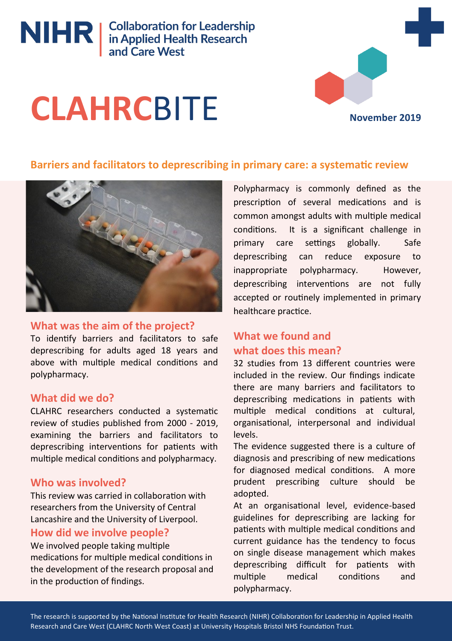NIHR | Collaboration for Leadership<br>
in Applied Health Research<br>
and Care West

# **CLAHRC**BITE

**November 2019**

#### **Barriers and facilitators to deprescribing in primary care: a systematic review**



#### **What was the aim of the project?**

To identify barriers and facilitators to safe deprescribing for adults aged 18 years and above with multiple medical conditions and polypharmacy.

#### **What did we do?**

CLAHRC researchers conducted a systematic review of studies published from 2000 - 2019, examining the barriers and facilitators to deprescribing interventions for patients with multiple medical conditions and polypharmacy.

#### **Who was involved?**

This review was carried in collaboration with researchers from the University of Central Lancashire and the University of Liverpool.

#### **How did we involve people?**

We involved people taking multiple medications for multiple medical conditions in the development of the research proposal and in the production of findings.

Polypharmacy is commonly defined as the prescription of several medications and is common amongst adults with multiple medical conditions. It is a significant challenge in primary care settings globally. Safe deprescribing can reduce exposure to inappropriate polypharmacy. However, deprescribing interventions are not fully accepted or routinely implemented in primary healthcare practice.

### **What we found and what does this mean?**

32 studies from 13 different countries were included in the review. Our findings indicate there are many barriers and facilitators to deprescribing medications in patients with multiple medical conditions at cultural, organisational, interpersonal and individual levels.

The evidence suggested there is a culture of diagnosis and prescribing of new medications for diagnosed medical conditions. A more prudent prescribing culture should be adopted.

At an organisational level, evidence-based guidelines for deprescribing are lacking for patients with multiple medical conditions and current guidance has the tendency to focus on single disease management which makes deprescribing difficult for patients with multiple medical conditions and polypharmacy.